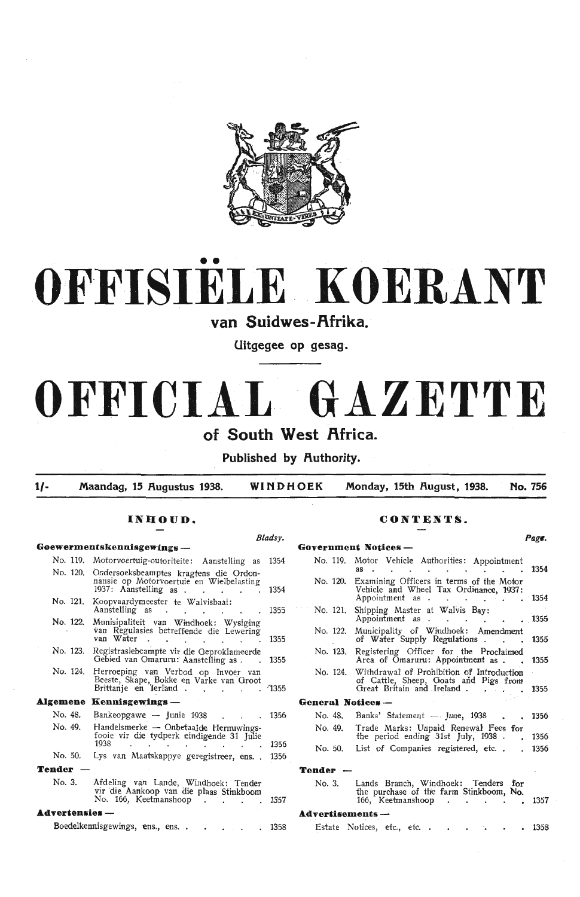

# •• **OFFISIELE. KOERANT**

## van Suidwes-Afrika.

**Uitgegee op gesag.** 

# **OFFICIAL GAZETTE**

# **of South West Africa.**

**Published by Authority.** 

**t/- .M.aandag, 15 f\ugustus 1938. WINDHOEK .Monday, 15th f\ugust, 1938 . No. 756** 

*Bladsy.* 

## **INHOUD.**

## Goewermentskennisgewings -No. 119. Motorvoertuig-outoriteite: Aanstelling as 1354 No. 120. Ondersoeksbeamptes kragtens die Ordonnansie op Motorvoertuie en Wielbelasting 1937: Aanstelling as. No. 121. Koopvaardymeester te Walvisbaai:<br>Aanstelling as 1354 Aanstelling as . . . . . . 1355 No. 122. Munisipaliteit van Windhoek: Wysiging<br>van Regulasies betreffende die Lewering<br>van Water No. 123. Registrasiebeampte vir die Geproklameerde Gebied van Omaruru: Aanstelling as . . . 1355 No. 124. Herroeping van Verbod op Invoer van Beeste, Skape, Bokke en Varke van Groot Brittanje en Ierland . . . . . 1355 **Algemene Kennisgewinga** - No. 48. Bankeopgawe - Junie 1938 . . . 1356  $No. 49.$  Handelsmerke  $-$  Onbetaalde Hermuwingsfooie vir die tydperk eindigende 31 Julie 1938 . . . . . . . 1356 No. 50. Lys van Maatskappye geregistreer, ens. . 1356 **Tender** - No. 3. Afdeling van Lande, Windhoek: Tender vir die Aankoop van die plaas Stinkboom No. 166, Keetmanshoop . . . . . 1357 Advertensies -Boedelkennisgewings, ens., ens. . . . . . . . 1358

#### **CONTENTS.**

**Page.** 

|                          | Government Notices —                                                                                                                           |        |
|--------------------------|------------------------------------------------------------------------------------------------------------------------------------------------|--------|
| No. 119.                 | Motor Vehicle Authorities: Appointment<br>as<br>$\bullet$ $\bullet$ $\bullet$ $\bullet$ $\bullet$ $\bullet$<br>$\sim$ $\sim$ $\sim$ $\sim$     | 1354   |
| No. 120.                 | Examining Officers in terms of the Motor<br>Vehicle and Wheel Tax Ordinance, 1937:<br>Appointment as                                           | . 1354 |
| No. 121.                 | Shipping Master at Walvis Bay:<br>Appointment as<br>the contract of the con-<br>$\sim 100$                                                     | 1355   |
| No. 122.                 | Municipality of Windhoek: Amendment<br>of Water Supply Regulations                                                                             | 1355   |
| No. 123.                 | Registering Officer for the Proclaimed<br>Area of Omaruru: Appointment as .                                                                    | 1355   |
| No. 124.                 | Withdrawal of Prohibition of Introduction<br>of Cattle, Sheep, Goats and Pigs from<br>Great Britain and Ireland.                               | 1355   |
| <b>General Notices —</b> |                                                                                                                                                |        |
| No. 48.                  | Banks' Statement - June, 1938                                                                                                                  | 1356   |
| No. 49.                  | Trade Marks: Unpaid Renewal Fees for<br>the period ending 31st July, 1938.                                                                     | 1356   |
| No. 50.                  | List of Companies registered, etc                                                                                                              | 1356   |
| Tender                   |                                                                                                                                                |        |
| No. 3.                   | Lands Branch, Windhoek: Tenders for<br>the purchase of the farm Stinkboom, No.<br>166, Keetmanshoop<br>$\cdot$ $\cdot$ $\cdot$ $\cdot$ $\cdot$ | 1357   |
| Advertisements —         |                                                                                                                                                |        |
|                          | Estate Notices, etc., etc.,                                                                                                                    | 1358   |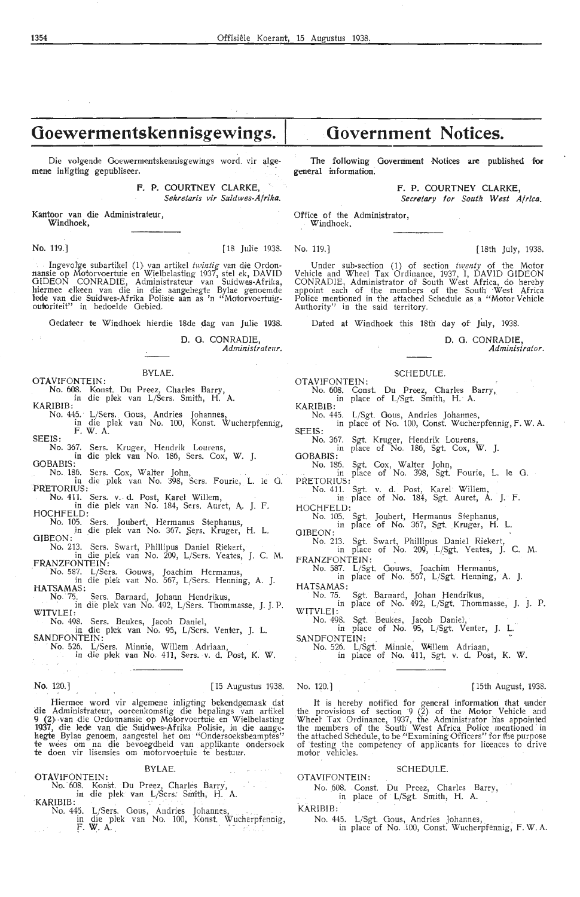## Goewermentskennisgewings.

Die volgende Goewermentskennisgewings word vir algemene inligting gepubliseer.

**F. P. COURTNEY CLARKE,** .

Sekretaris vir Suidwes-Afrika.

Kantoor van die Administrateur, Windhoek,

Ingevolge subartikel (1) van artikel *twintig* van die Ordon-nansie op Motorvoertuie en Wielbelasting 1937, stel ek, DAVID GIDEON CONRADIE, Administrateur van Suidwes-Afrika, hiermee elkeen van die in die aangehegte Bylae genoemde lede van die Suidwes-Afrika Polisie aan as 'n "Motorvoertuigoutoriteit" in hedoelde Gebied.

Gedateer te Windhoek hierdie 18de dag van Julie 1938.

D. G. CONRADIE, *Administrateur.* 

OTAVIFONTEIN:

- No. 608. Konst. Du Preez, Charles Barry, in die plek van L/Sers. Smith, H. A.
- KARIBIB:

No. 445. L/Sers. Gous, Andries Johannes, in die plek van No. 100, Konst. Wucherpfennig, F. W. A.

BYLAE.

SEEIS:

No. 367. Sers. Kruger, Hendrik Lourens, in die plek van No. 186, Sers. Cox, W. J. GOBABIS:

- 
- No. 186. Sers. Cox, Walter John,<br>
in die plek van No. 398, Sers. Fourie, L. le G.<br>
PRETORIUS:
- No. 411. Sers. v. d. Post, Karel Willem, in die plek van No. 184, Sers. Auret, A. J. F.
- HOCHFELD: No. 105. Sers. Joubert, Hermanus Stephanus,

in die plek van No. 367. Sers, Kruger, H. L.<br>GIBEON:

No. 213. Sers. Swart, Phillipus Daniel Riekert, in die plek van No. 209, L/Sers. Yeates, J. C. M.<br>FRANZFONTEIN:<br>No. 587. L/Sers. Gouws, Joachim Hermanus,

No. 587, L/Sers. Gouws, Joachim Hermanus,<br>in die plek van No. 567, L/Sers. Henning, A. J.

- $HATSAMAS:$  Sers.
- No.· 75. Sers. Barnard, Johann Hendrikus, in die plek van No. 492, L/Sers. Thommasse, J. J.P. WITVLEI:
- No. 498. Sers. Beukes, Jacob Danid,
- in die plek van No. 95, L/Sers. Venter, J. L. SANDFONTEIN:<br>·· No. 526. L/Sers. Minnie, Willem Adriaan,
- in die plek van No. 411, Sers. *v.* d. Post, K. W.

## No. 120.] [ 15 Augustus 1938. No. 120.] [ 15th August, 1938.

Hiermee word vir algemene inligting bekendgemaak dat die Administrateur, ooreenkomstig die bepalings van artikel **9 (2) van die Ordonnansie op Motorvoertuie en Wielbelasting** 1937, die lede van die Suidwes-Afrika Polisie, in die aangehegte Bylae genoem, aangestel het om "Ondersoeksbeamptes"<br>te wees om na die bevoegdheid van applikante ondersoek te doen vir lisensies om motorvoertuie te bestuur.

## **OT** AVIFONTEIN: No. 608. Konst. Du Preez, Charles Barry,<br>in die plek van L/Sers. Smith, H. A. **KARil3IB:** m die plek van L/Sers: Smith, H. A.

No. 445. l/Sers. Gous, Andries Johannes, in die plek van No. 100, Konst. Wucherpfennig, f. **\Y- A.** 

# **Government Notices.**

The following Government Notices are published for general information:

> F. P. COURTNEY CLARKE, *Secretary for South West Africa.*

Office of the Administrator, Windhoek.

No. 119.] [18 Julie 1938. No. 119.] [18th July, 1938.

Under sub-section (1) of section *twenty* of the Motor Vehicle and Wheel Tax Ordinanoe, 1937, I, DAVID GIDEON CONRADIE, Administrator of South West Africa, do hereby appoint each of the members of the South West Africa Police mentioned in the attached Schedule as a "Motor Vehicle Authority" in the said territory.

Dated at Windhoek this 18th day of July, 1938.

**D. 0. CONRADIE,**  *Administrator.* 

#### SCHEDULE.

OTAVIFONTEIN: No. 608. Const. Du Preez, Charles Barry, 1n place of L/Sgt. Smith, H. A.

KARIBIB: No. 445. L/Sgt. Gous, Andries Johannes,

in place of No. 100, Const. Wucherpfennig, F. W. A. SEEIS:

- 
- No. 367. Sgt. Kruger, Hendrik Lourens,<br>in place of No. 186, Sgt. Cox, W. J.<br>GOBABIS:
- GOBABIS:<br>No. 186. Sgt. Cox, Walter John,<br>in place of No. 398, Sgt. Fourie, L. le G.
- PRETORIUS: No. 411. Sgt. v. d. Post, Karel Willem,
- in place of No. 184, Sgt. Auret, A. J. f . HOCHFELD:
- No. 105. Sgt. Joubert, Hermanus Stephanus,
- GIBEON: m place of No. 367, Sgt. Kruger, H. L. No. 213. Sgt. Swart, Phillipus Daniel Riekert,
- in place of No. 209, L/Sgt. Yeates, J. C. **M.**
- FRANZFONTEIN:<br>No. 587. L/Sgt. Gouws, Joachim Hermanus, in place of No. 567, L/Sgt. Henning, A. J.
- HATSAMAS: . No. 75.
- in WITVLEI: Sgt. Barnard, Johan Hendrikus, place of No. 492, L/Sgt. Thommasse, J. J. P.
- No. 498. Sgt. Beukes, Jacob Daniel, in place of No. 95, L/Sgt. Venter, J. L.

SANDFONTEIN:<br>
No. 526. L/Sgt. Minnie, Willem Adriaan,<br>
in place of No. 411, Sgt. v. d. Post, K. W.

It is hereby notified for general information that under the provisions of section  $9$   $(\frac{2}{2})$  of the Motor Vehicle and Wheel Tax Ordinance, 1937, the Administrator has appointed the members of the South West Africa Police mentioned in the attached Schedule, to be "Examining Officers" for the purpose of testing the competency of applicants for lioences to drive motor vehicles.

#### SCHEDULE. OTAVIFONTEIN:

No. 608. Const. Du Preez, Charles Barry, m place of L/Sgt. Smith, **H.** A.

KARIBIB:

No. 445. L/Sgt. Gous, Andries Johannes, . in place of No. 100, Const. Wucherpfennig, F. W. A.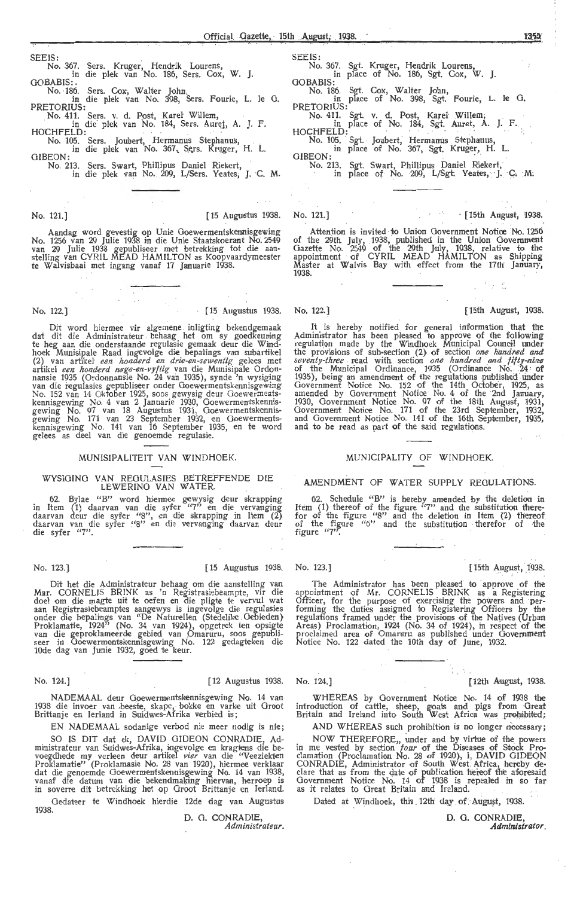SEEIS:

- No. 367. Sers. Kruger, Hendrik Lourens, in die plek van No. 186, Sers. Cox, W. J. GOBABIS:
- No. 186. Sers. Cox, Walter John,<br>
1988: In die plek van No. 398, Sers. Fourie, L. le G. PRETORIUS:
- No. 411. Sers. v. d. Post, Karel Willem, in die plek van No. 184, Sers. Aure<u>t,</u> A. J. F.
- HOCHFELD:<br>No. 105. Sers. No. 105. Sers. Joubert, Hermanus Stephanus, in die plek van No. 367, Sers. Kruger, H. L.

 $GIBEON:$   $No. 213.$ No. 213. Sers. Swart, Phillipus Daniel Riekert,

in die plek van No. 209, L/Sers. Yeates, J. C. M.

Aandag word gevestig op Unie Goewermentskennisgewing No. 1256 van 29 Julie 1938 in die Unie Staatskoerant No.2549<br>van 29 Julie 1938 gepubliseer met betrekking tot die aan-<br>stelling van CYRIL MEAD HAMILTON as Koopvaardymeester te Walvisbaai met ingang vanaf 17 Januarie 1938.

No. 122.) [ 15 Augustus 1938. No. 122.] [ 15th August, 1938.

Dit word hiermee vir algemene inligting bekendgemaak dat dit die Administrateur behaag het om sy goedkeuning<br>te heg aan die onderstaande regulasie gemaak deur die Windhoek Munisipale Raad ingevolge die bepalings van subartikel (2) van artikel *een honderd en drie-en-sewentig* gelees met artikel *een honderd nege-en-vyftig* van die Munisipale Ordonnansie 1935 (Ordonnansie No. 24 van 1935), synde 'n wysiging<br>van die regulasies gepubliseer onder Goewermentskennisgewing No. 152 van 14 Oktober 1925, soos gewysig deur Goewermentskennisgewing No. 4 van 2 Januarie 1930, Ooewermentskennisgewing No. 97 van 18 Augustus 1931, Ooewermentskennisgewing No. 171 van 23 September 1932, •en Goewermentskennisgewing No. 141 van 16 September 1935, en l:e word gelees as deel van die genoemde regulasie.

#### MUNISIPALITEIT VAN WINDHOEK.

#### WYSIGINO VAN REOULASIES BETREFFENDE DIE LEWERINO VAN WATER.

62. Bylae "B" word hiermee gewysig deur skrapping in Item (1) daarvan van die syfer "7" en die vervanging daarvan deur die syfer "8", en die skrapping in Item (2) daarvan van die syfer "8" en die vervainging daarvan deur die syfer "7".

#### No. 123.) [ 15 Augustus 1938. No. 123.] [ 15th August, 1938.

Dit het die Administrateur behaag om die aanstelling van Mnr. CORNELIS BRINK as 'n Registrasiebeampte, vir die doel om die magte uit te oefen en die pligte te vervul wat<br>aan Registrasiebeamptes aangewys is ingevolge die regulasies onder die bepalings van "De Naturellen (Stedelike . Gebieden) Proklamatie, 1924" (No. 34 van 1924), opgetrek ten opsigte<br>van die geproklameerde gebied van Omaruru, soos gepubli-<br>seer in Goewermentskennisgewing No. 122 gedagteken die 10de dag van Junie 1932, goed te keur.

No. 124.) [12 Augustus 1938. No. 124.] (12th August, 1938.

NADEMAAL deur Goewermentskennisgewing No. 14 van 1938 die invoer van beeste, skape, bokke en varke uit Groot Brittanje en Ierland in Suidwes-Afrika verbied is;

EN NADEMAAL sodanige verbod nie meer nodig is nie; SO IS DIT dat ek, DAVID GIDEON CONRADIE, Administrateur van Suidwes-Afrika, ingevolge en kragtens die bevoegdhede my verleen deur artikel *vier* van die "Veeziekten Proklamatie" (Proklamasie No. 28 van 1920), hiermee verklaar dat die genoemde Goewermentskennisgewing No. 14 van 1938, vanaf die datum van die bekendmaking hiervan, herroep is in soverre dit betrekking het op Groot Brittanje en Ierland.

Gedateer te Windhoek hierdie 12de dag van Augustus 1938.

**D.** 0. **CONRADIE,** 

*Administrateur.* 

- SEEIS: No. 367. Sgt. Kruger, Hendrik Lourens, in place of No. 186, Sgt. Gox, W. J.
- OOBABIS:
- No. 186. Sgt. Cox, Walter John,<br>\_\_\_\_\_\_in\_place of No. 398, Sgt. Fourie, L. le G. PRETORIUS:
- No. 411. Sgt. v. d, Post, Karel Willem, in place of No. 184, Sgt. Auret, A. J. F.<br>HOCHFELD:
- No. 105, Sgt. Joubert, Hermanus Stephanus,<br>\_\_\_\_\_\_in place of No. 367, Sgt. Kruger, H. L.
- GIBEON: No. 213. No. 213. Sgt. Swart, Phillipus Daniel Riekert,<br>in place of No. 209, L/Sgt. Yeates, J. C. M.

No. 121.] [15 Augustus 1938. No. 121.) [ 15th August, 1938.

Attention is invited to Union Government Notice No. 1256 of the 29th July, 1938, published in the Union Government Gazette No. 2549 of the 29th July, 1938, relative to the appointment of CYRIL MEAD HAMILTON as Shipping Master at Walvis Bay with effect from the 17th January, 1938.

It is hereby notified for general information that the Administrator has been pleased to approve of the following regulation made by the Windhoek Municipal Council under<br>the provisions of sub-section (2) of section *one hundred and seventy-three* read with section *one hundred and fifty-nine* of the Municipal Ordinance, 1935 (Ordinance No. 24 of

1935), being an amendment of the regulations published under Government Notice No. 152 of the 14th October, 1925, as amended by Government Notice No. 4 of the 2nd January, 1930, Government Notioe No. 97 of the 18th August, 1931, Government Notice No. 171 of the 23rd September, 1932, and Govemment Notioe No. 141 of the 16th September, 1935, and to be read as part of the said regulations.

#### MUNICIPALITY OF WINDHOEK.

#### AMENDMENT OF WATER SUPPLY REGULATIONS.

62. Schedule "B" is hereby amended by the deletion in Item  $(1)$  thereof of the figure  $i'7''$  and the substitution therefor of the figure "8" and the deletion in Item (2) thereof of the figure "6" and the substitution therefor of the figure "7".

The Administrator has been pleased to approve of the appointment of Mr. CORNELIS BRINK as a Registering Officer, for the purpose of exercising the powers and performing the duties assigned to Registering Officers by the regulations framed under the provisions of the Natives (Urban Areas) Proclamation, 1924 (No. 34 of 1924), in respect of the proclaimed area of Omaruru as published under Government Notice No. 122 dated the 10th day of June, 1932.

WHEREAS by Government Notice No. 14 of 1938 the introduction of cattle, sheep, goats and pigs from Great Britain and Ireland into South West Africa was prohibited;

AND WHEREAS such prohibition is no longer necessary;

NOW THEREFORE,, under and by virtue of the powers in me vested by section *four* of the Diseases of Stock Proclamation (Proclamation No. 28 of 1920), I, DAVID GIDEON CONRADIE, Administrator of South West. Africa, hereby de• clare that as from the date of publication hereof the aforesaid Government Notice No. 14 of 1938 is repealed in so far<br>as it relates to Great Britain and Ireland.

Dated at Windhoek, this 12th day of August, 1938.

**D. 0. CONRADIE, Administrator.**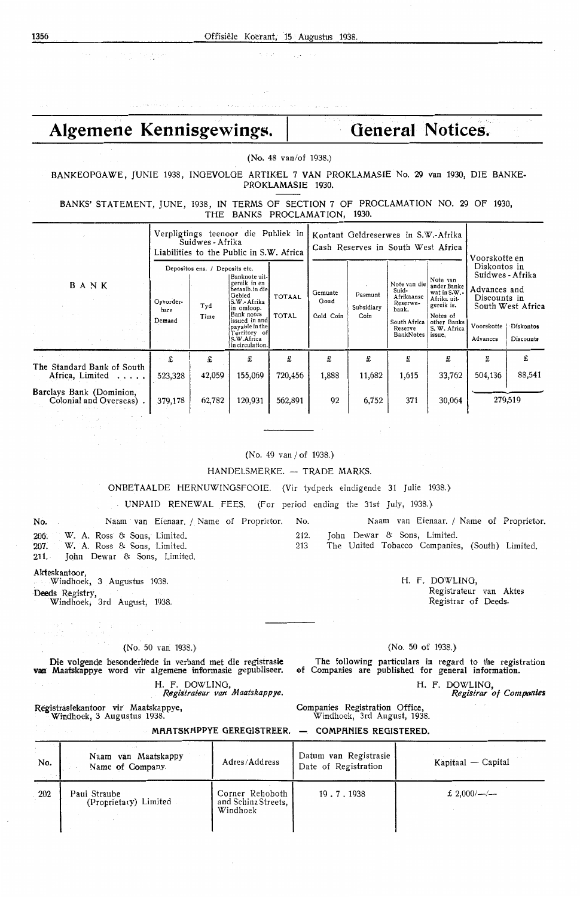# Algemene Kennisgewings. | General Notices.

(No. 48 van/of 1938.)

BANKEOPGAWE, JUNIE 1938, INGEVOLGE ARTIKEL 7 VAN PROKLAMASIE No. 29 van 1930, DIE BANKE-PROKLAMASIE 1930.

BANKS' STATEMENT, JUNE, 1938, IN TERMS OF SECTION 7 OF PROCLAMATION NO. 29 OF 1930, THE BANKS PROCLAMATION, 1930.

|                                                     | Verpligtings teenoor die Publiek in<br>Suidwes - Afrika<br>Liabilities to the Public in S.W. Africa |                                               |                                                                                                                                                                                             |                               | Kontant Geldreserwes in S.W.-Afrika<br>Cash Reserves in South West Africa |                               |                                                                                                  |                                                                                                                           | Voorskotte en                                                                              |                                             |
|-----------------------------------------------------|-----------------------------------------------------------------------------------------------------|-----------------------------------------------|---------------------------------------------------------------------------------------------------------------------------------------------------------------------------------------------|-------------------------------|---------------------------------------------------------------------------|-------------------------------|--------------------------------------------------------------------------------------------------|---------------------------------------------------------------------------------------------------------------------------|--------------------------------------------------------------------------------------------|---------------------------------------------|
| <b>BANK</b>                                         | Opvorder-<br>bare<br>Demand                                                                         | Depositos ens. / Deposits etc.<br>Tyd<br>Time | Banknote uit- <br>gereik in en<br>betaalb.in diel<br>Gebied<br>S.W.- Afrika<br>in omloop.<br>Bank notes<br>issued in and<br>payable in the<br>Territory of<br>S.W.Africa<br>in circulation. | <b>TOTAAL</b><br><b>TOTAL</b> | Gemunte<br>Goud<br>Gold Coin                                              | Pasmunt<br>Subsidiary<br>Coin | Note van die<br>Suid-<br>Afrikaanse<br>Reserwe-<br>bank.<br>South Africa<br>Reserve<br>BankNotes | Note van<br>ander Banke<br>wat in S.W.-<br>Afrika uit-<br>gereik is.<br>Notes of<br>other Banks<br>S. W. Africa<br>issue, | Diskontos in<br>Suidwes - Afrika<br>Advances and<br>Discounts in<br>Voorskotte<br>Advances | South West Africa<br>Diskontos<br>Discounts |
| The Standard Bank of South<br>Africa, Limited<br>.  | £<br>523,328                                                                                        | £<br>42,059                                   | £<br>155,069                                                                                                                                                                                | £<br>720,456                  | £<br>1,888                                                                | £<br>11,682                   | £<br>1,615                                                                                       | £<br>33,762                                                                                                               | £<br>504,136                                                                               | £<br>88,541                                 |
| Barclays Bank (Dominion,<br>Colonial and Overseas). | 379,178                                                                                             | 62,782                                        | 120,931                                                                                                                                                                                     | 562,891                       | 92                                                                        | 6,752                         | 371                                                                                              | 30,064                                                                                                                    |                                                                                            | 279,519                                     |

(No. 49 van/ of 1938.)

HANDELSMERKE. - TRADE MARKS

ONBETAALDE HERNUWINOSFOOIE. (Vir tydperk eindigende 31 Julie 1938.}

UNPAID RENEWAL FEES. (For period ending the 31st July, 1938.)

| No.      | Naam van Eienaar / Name of Proprietor. No.                                                               |             | Naam van Eienaar. / Name of Proprietor.                                       |
|----------|----------------------------------------------------------------------------------------------------------|-------------|-------------------------------------------------------------------------------|
|          | 206. W. A. Ross & Sons, Limited.<br>207. W. A. Ross & Sons, Limited.<br>211. John Dewar & Sons, Limited. | 212.<br>213 | John Dewar & Sons, Limited.<br>The United Tobacco Companies, (South) Limited. |
| $\cdots$ |                                                                                                          |             |                                                                               |

**Akteskantoor,**  Windhoek, 3 Augustus 1938,

Deeds Registry,<br>Windhoek; 3rd August, 1938.

### (No. 50 vari 1938.)

Die volgende besonderhede in verband met die registrasie **van Maatskappye word vir algemene informasie gepubliseer.** 

H. F. DOWLING,<br>*Registrateur van Maatskappye*.

**MRATSKAPPYE GEREGISTREER.** 

Registrasiekantoor vir Maatskappye, Windhoek, 3 Augustus 1938.

Windhoek, 3rd August, 1938.

Companies Registration Office,

**COMPRNIES REGISTERED** 

| No. | Naam van Maatskappy<br>Name of Company. | Adres/Address                                      | Datum van Registrasie<br>Date of Registration | Kapitaal — Capital     |
|-----|-----------------------------------------|----------------------------------------------------|-----------------------------------------------|------------------------|
| 202 | Paul Straube<br>(Proprietary) Limited   | Corner Rehoboth<br>and Schinz Streets,<br>Windhoek | 19.7.1938                                     | £ $2,000/$ --- $/$ --- |

H. F. DOWLING, Registrateur van Aktes Registrar of Deeds.

(No. 50 of 1938.}

The following particulars in regard to the registration of Companies are published for general information.

H. F. DOWLING, *Registrar of Companies*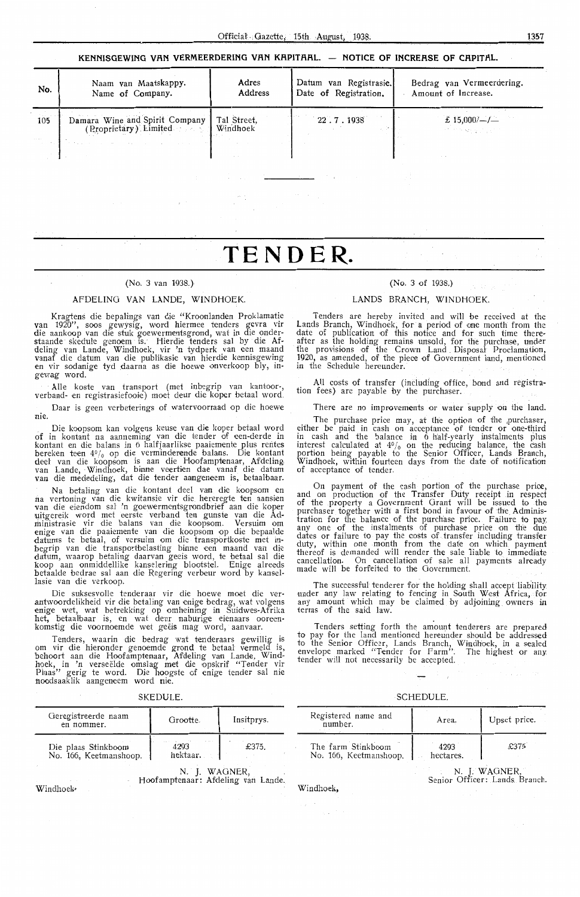#### 1357

### KENNISGEWING VAN VERMEERDERING VAN KAPITAAL. - NOTICE OF INCREASE OF CAPITAL

| No.              | Naam van Maatskappy.                                       | Adres       | Datum van Registrasie.                    | Bedrag van Vermeerdering. |
|------------------|------------------------------------------------------------|-------------|-------------------------------------------|---------------------------|
|                  | Name of Company.                                           | Address     | Date of Registration.                     | Amount of Increase.       |
| 105              | Damara Wine and Spirit Company                             | Tal Street. | 22.7.1938                                 | £ 15,000/ $-$ / $-$       |
| $\sim$ 10 $\sim$ | (Reported ry) Limited                                      | Windhoek    | and the state                             | PER MENDENT               |
|                  | the figure of the company of the company of the company of | $\sim$      |                                           |                           |
|                  |                                                            |             | the first state of the state and the pro- |                           |

# **TENDER.**

### (No. 3 van 1938.}

#### AFDELING VAN LANDE, WINDHOEK.

Kragtens die bepalings van die "Kroonlanden Proklamatie van 1920", soos gewysig, word hiermee tenders gevra vir die aankoop van die stuk goewermentsgrond, wat in die onderstaande skedule genoem is. Hierdie tenders sal by die Afdeling van Lande, Windhoek, vir 'n tydperk van een maand vanaf die datum van die publikasie van hierdie kennisgewing<br>en vir sodanige tyd daarna as die hoewe onverkoop bly, ingewag word.

Alle koste van transport (met inbegrip van kantoor-, verband- en registrasiefooie) moet deur die koper betaal word.

Daar is geen verbeterings of watervoorraad op die hoewe nie.

Die koopsom kan volgens keuse van die koper betaal word of in kontant na aanneming van die tender of een-derde in kontant en die balans in 6 halfjaarlikse paaiemente plus rentes<br>bereken teen 4% op die verminderende balans. Die kontant deel van die koopsom is aan die Hoofamptenaar, Afdeling,<br>van Lande, Windhoek, binne veertien dae vanaf die datum<br>van die mededeling, dat die tender aangeneem is, betaalbaar.

Na betaling van die kontant deel van die koopsom en na vertoning van die kwitansie vir die hereregte ten aansien van die eiendom sal 'n goewermentsgrondbrief aan die koper uitgereik word met eerste verband ten gunste van die Adenige van die paaiemente van die koopsom op die bepaalde datums te betaal, of versuim om die transportkoste met inkoop aan onmiddellike kanselering blootstel. Enige alreeds betaalde bedrae sal aan die Regering verbeur word by kansellasie van die verkoop.

Die suksesvolle tenderaar vir die hoewe moet die ver-<br>antwoordelikheid vir die betaling van enige bedrag, wat volgens enige wet, wat betrekking op omheining in Suidwes-Afrika het, betaalbaar is, en wat deur naburige eienaars ooreen-<br>komstig die voornoemde wet geëis mag word, aanvaar.

Tenders, waarin die bedrag wat tenderaars gewillig is om vir die hieronder genoemde grond te betaal vermeld is, behoort aan die Hoofamptenaar, Afdeling van Lande, Windhoek, in 'n verseëlde omslag met die opskrif "Tender vir<br>Plaas" gerig te word. Die hoogste of enige tender sal nie noodsaaklik aangeneem word nie.

| SKEDULE. |
|----------|
|----------|

|                                               | SRLDOLL.                                            |            |
|-----------------------------------------------|-----------------------------------------------------|------------|
| Geregistreerde naam<br>en nommer.             | Grootte.                                            | Insitprys. |
| Die plaas Stinkboom<br>No. 166, Keetmanshoop. | 4293<br>hektaar.                                    | £375.      |
| Windhoek                                      | N. J. WAGNER,<br>Hoofamptenaar: Afdeling van Lande. |            |

 $(N_0, 3$  of 1038.

#### LANDS BRANCH, WINDHOEK.

Tenders are hereby invited and will be received at the Lands Branch, Windhoek, for a period of one month from the date of publication of this notice and for such time there-<br>after as the holding remains unsold, for the purchase, under the provisions of the Crown Land Disposal Proclamation, 1920, as amended, of the piece of Government land, mentioned in the Schedule hereunder.

All costs of transfer (including office, bond and registration fees) are payable by the purchaser.

There are no improvements or water supply on the land.

The purchase price may, at the option of the purchaser either be paid in cash on acceptance of tender or one-third in cash and the balance in 6 half-yearly instalments plus interest calculated at  $4\frac{9}{0}$  on the reducing balance, the cash portion being payable to the Senior Offioer, Lands Branch, Windhoek, within fourteen days from the date of notification of acceptance of tender.

On payment of the cash portion of the purchase price, and on production of the Transfer Duty receipt in respect of the property a Government Grant will be issued to the purchaser together with a first bond in favour of the Administration for the balance of the purchase price. Failure to pay, any one of the instalments of purchase prioe on the due dates or failure to pay the costs of transfer including transfer duty, within one month from the date on which payment thereof is demanded will render the sale liable to immediate cancellation. On cancellation of sale all payments already made will be forfeited to the Oovernment.

The successful tenderer for the holding shall accept liability I are successful tenderer for the holding shall accept hability<br>under any law relating to fencing in South West Africa, for<br>any amount which may be claimed by adjoining owners in terms of the said law.

Tenders setting forth the amount tenderers are prepared to pay for the land mentioned hereunder should be addressed to the Senior Officer, Lands Branch, Windhoek, in a sealed envelope marked "Tender for Farm". The highest or any, tender will not necessarily be accepted.

SCHEDULE.

| Registered name and<br>number.               | Area.             | Upset price. |
|----------------------------------------------|-------------------|--------------|
| The farm Stinkboom<br>No. 166, Keetmanshoop. | 4293<br>hectares. | £375         |

N. J. WAGNER, Senior Officer: Lands. Branch.

Windhoek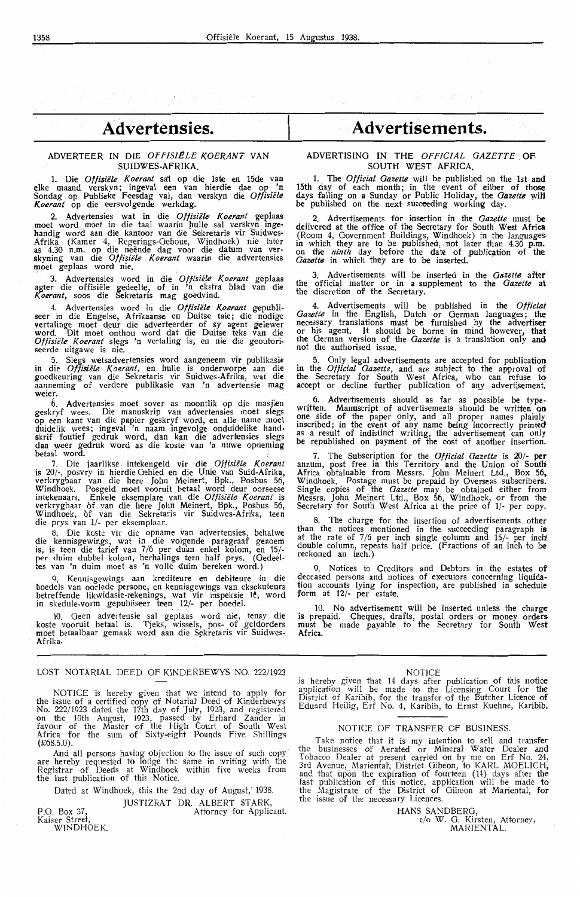# Advertensies.

### ADVERTEER IN DIE *OFFISIELE KOER.ANT* **VAN**  SUIDWES-AFRIKA.

1. Die *Offisiële Koerant* sai op die 1ste en 15de van elke maand verskyn; ingeval een van hierdie dae op 'n Sondag op Publieke Feesdag val, dan verskyn die *Offisiële*<br>*Koerant* op die eersvolgende werkdag.

. 2. Advertensies wat in die. *Oftisiele Koerant* geplaas moet word moet in die taal waarin hulle sal verskyn ingehandig word aan die kantoor van die Sekretaris vir Suidwes-Afrika (Kamer 4, Regerings-Geboue, Windhoek) nie later **as** 4.30 n.rn. op die neende dag voor dte datum van ver- skyning van die *Offisiiile Koeran.t* waarLn die advertensies moet geplaas word nie.

3. Advertensies word in die *Oftisiiile Koerant* geplaas agter die offisiele gedeelte, of in 'n ekstra blad van die *Koerant,* soos. die Sekretaris mag goedvind.

4. Advertensies word in die *Offisiële Koerant* gepubli-<br>seer in die Engelse, Afrikaanse en Duitse tale; die nodige<br>vertalinge moet deur die adverteerder of sy agent gelewer word. Dit moet onthou word dat die Duitse teks van die *Offisiële Koerant* slegs 'n vertaling is, en nie die geoutoriseerde uitgawe is nie.

5. Slegs wetsadvertensies word aangeneem vir publikasie in die Offisiiile *Koerant,* en hulle is onderworpe aan die goedkeuring van die Sekretaris vir Suidwes-Afrika, wat die aanneming of verdere publikasie van 'n advertensie mag<br>weier.

6. Advertensies moet sover as moontlik op die masjien geskryf wees. Die manuskrip van advertensies moet slegs op een kant van die papier geskryf word, en alle name moet duidelik wees; ingeval 'n naam ingevolge onduidelike handskrif foutief gedruk word, dan kan die advertensies slegs dan weer gedruk word as die koste van 'n nuwe opneming betaal word. ·

7. Die jaarlikse intekengeld vir die *Offisiele Koerant*  is 20/-, posvry in hierdie Gebied en die Unie van Suid-Afrika, verkrygbaar van die here John Meinert, Bpk., Posbus 56, Windhoek. Posgeld moet vooruit betaal word. deur 0orseese intekenaars. Enkele eksemplare van die *Offisiële Koerant* is<br>verkrygbaar òf van die here John Meinert, Bpk., Posbus 56,<br>Windhoek, òf van die Sekretaris vir Suidwes-Afrika, teen die prys van 1/- per eksemplaar.

8. Die koste vir die opname van advertensies, behalwe die kennisgewings, wat in die volgende paragraaf genoem is, is teen die tarief van 7/6 per duim enkel kolom, en 15/- per duim dubbel kolom, herhalings teen half prys. (Gedeeltes van 'n duim moet as 'n volie duim bereken word.)

,9. Kennisgewings aan krediteure en debiteure in die boedels van oorlede persone, en kennisgewings van eksekuteurs betreffende likwidasie-rekenings, wat vir inspeksie lê, word in skedule-vorm gepubliseer teen 12/- per boedel.

10. Geen advertensie sal geplaas word nie, tensy die koste vooruit betaal is. Tjeks, wissels, pos- of geldorders moet betaalbaar gemaak word aan die Sekretaris vir Suidwes-Afrika.

## LOST NOTARIAL DEED OF KINDERBEWYS NO. 222/1923

NOTICE is hereby given that we intend to apply for the issue of a certified copy of Notarial· Deed of Kinderbewys No. 222/ 1923 dated the 17th day of July, 1923, and registered on the 10th August, 1923, passed by Erhard Zander in favour of the Master of the High Court of South West Africa for the sum of Sixty-eight Pounds Five Shillings  $(E68.5.0)$ .

And all persons having objection to the issue of such copy are hereby requested to lodge the same in writing with the Registrar of Deeds at Windhoek within five weeks from the last publication of this Notice.

Dated at Windhoek, this the 2nd day of August, 1938.

JUSTIZRAT DR. ALBERT STARK,<br>P.O. Box 37, Attorney for Applicant.

Kaiser Street, WINDHOEK. **Advertisements.** 

#### ADVERTISING IN THE *OFFICIAL GAZETTE .* OP. SOUTH WEST AFRICA.

. 1. The *Official Gazette* will be published on the 1st and 15th day of each month; in the event of either of those days falling on a Sunday or Public Holiday, the *Gazette* will be published on the next succ<del>ee</del>ding working day.

2. Advertisements for insertion in the *Gazette* must be delivered at the office of the Secretary for South West **Africa**  (Room 4, Government Buildings, Windhoek} in the languages in which they are to be published, not later than 4.30 p.m. on the *ninth* day before the date of publication of the *Gazette* in which they are to be inserted.

3. Advertisements will be inserted in the *Gazette* after the official matter or in a supplement to the *Gazette* **at**  the discretion of the Secretary.

4. Advertisements will be published in the *Official Gazette* in the English, Dutch or German languages; the necessary translations must be furnished by the advertiser or his agent. It should be borne in mind however, that the Oerman version of the *Gazette* is a translation only and not the authorised issue.

5. Only legal advertisements are acoepted for publication in the Official *Gazette,* and are subject to the approval of the Secretary for South West Africa, who can refuse to accept or decline further publication of any advertisement.

6. Advertisements should as far as possible be type-<br>written. Manuscript of advertisements should be written on<br>one side of the paper only, and all proper names plainly inscribed; in the event of any name being incorrectly printed as a result of indistinct writing, the advertisement can only be republished on payment of the cost of another insertion.

7. The Subscription for the Official Gazette is 20/- per annum, post free in this Territory and the Union of South **Africa** obtainable from Messrs. John Meinert Ltd., Box 56, Windhoek. Postage must be prepaid by Overseas subscribers. Single copies of the *Gazette* may be obtained either from Messrs. John Meinert Ltd., Box 56, Windhoek, or from the Secretary for South W.est Africa at the price of **1/-** per copy.

The charge for the insertion of advertisements other than the notices mentioned in the succeeding paragraph is at the rate of 7/6 per inch single column and 15/- per inch double column, repeats half price. (Fractions of an inch to be reckoned an inch.)

9. Notices to Creditors and Debtors in the estates **of**  deceased persons and notices of executors concerning liquida• tion accounts lying for inspection, are published in schedule form at 12/- per estate.

10. No advertisement will be inserted unless the charge is prepaid. Cheques, drafts, postal orders or money orders must be made payable to the Secretary for South West **Africa.** 

#### NOTICE

is hereby given that  $14$  days after publication of this notice application will be made to the Licensing Court for **the**  District of Karibib, for the transfer of the Butcher Licence of Eduard Heilig, Erf No. 4, Karibib, to Ernst Kuehne, Karibib.

#### NOTICE OF TRANSFER OF BUSINESS.

Take notice that it is my intention to sell and transfer the businesses of Aerated or Mineral Water Dealer and Tobacco Dealer at present carried on by me on Erf No. 24, 3rd Avenue, Mariental', District Oibeon, to KARL MOELICH, and that upon the expiration of fourteen (14) days after the<br>last publication of this notice, application will be made to the Magistrate of the District of Oibeon at Mariental, for the issue of the necessary Licences.

HANS SANDBERG,

c/o W. 0. Kirsten, Attorney, MARIENTAL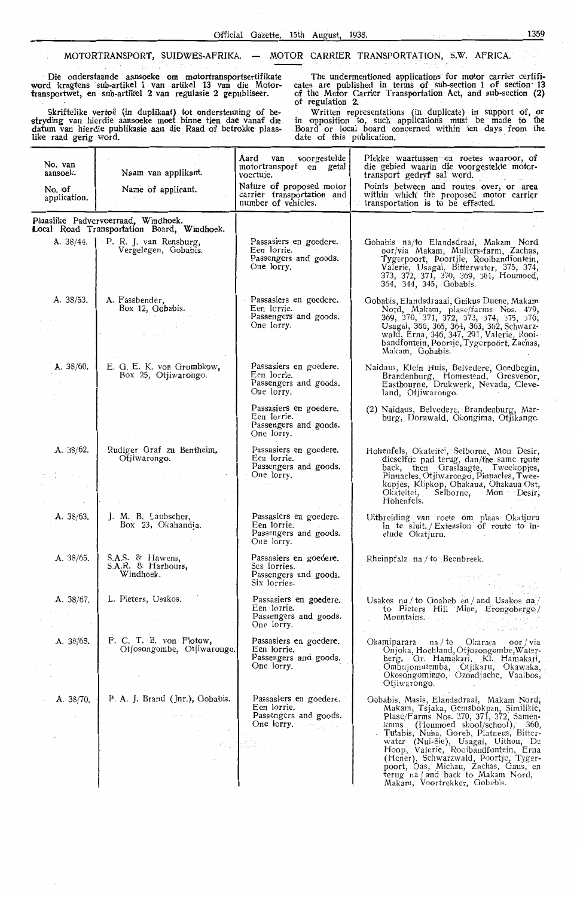Die onderstaande aansoeke om motortransportsertifikate word 'kragtens 'sub-artikel 1 van artikel 13 van die Motortransportwet, en sub-artikel 2 van regulasie 2 gepubliseer.

Skriftelike vertoe (in duplikaat) tot ondersteuning of bestryding van hierdie aansoeke moet binne tien dae vanaf die<br>datum van hierdie publikasie aan die Raad of betrokke plaaslike raad gerig word.

## MOTORTRANSPORT, SUIDWES-AFRIKA. - MOTOR CARRIER TRANSPORTATION, S.W. AFRICA.

The undermentioned applications for motor carrier certificates are published in terms of sub-section 1 of section 13 of the Motor Carrier Transportation Act, and sub-section **.(2)**  of regulation 2.

Written representations (in duplicate) in suppbrt of, **or**  in opposition to, such applications must be made to the . Board or local board concerned within · ten days from the date of this publication.

| No. van<br>aansoek.                                                               | Naam van applikant.                                        | Aard van voorgestelde<br>motortransport en getal<br>voertuie.                   | Plekke waartussen en roetes waaroor, of<br>die gebied waarin die voorgestelde motor-<br>transport gedryf sal word.                                                                                                                                                                                                                                                                                                                                |
|-----------------------------------------------------------------------------------|------------------------------------------------------------|---------------------------------------------------------------------------------|---------------------------------------------------------------------------------------------------------------------------------------------------------------------------------------------------------------------------------------------------------------------------------------------------------------------------------------------------------------------------------------------------------------------------------------------------|
| No. of<br>application.                                                            | Name of applicant.                                         | Nature of proposed motor<br>carrier transportation and<br>number of vehicles.   | Points between and routes over, or area<br>within which the proposed motor carrier<br>transportation is to be effected.                                                                                                                                                                                                                                                                                                                           |
| Plaaslike Padvervoerraad, Windhoek.<br>Local Road Transportation Board, Windhoek. |                                                            |                                                                                 |                                                                                                                                                                                                                                                                                                                                                                                                                                                   |
|                                                                                   | A. 38/44.   P. R. J. van Rensburg,<br>Vergelegen, Gobabis. | Passasiers en goedere.<br>Een lorrie.<br>Passengers and goods.<br>One lorry.    | Gobabis na/to Elandsdraai, Makam Nord<br>oor/via Makam, Mullers-farm, Zachas,<br>Tygerpoort, Poortjie, Rooibandfontein,<br>Valerie, Usagai, Bitterwater, 375, 374,<br>373, 372, 371, 370, 369, 361, Houmoed,<br>364, 344, 345, Gobabis.                                                                                                                                                                                                           |
| A. 38/53.                                                                         | A. Fassbender,<br>Box 12, Gobabis.                         | Passasiers en goedere.<br>Een lorrie.<br>Passengers and goods.<br>One lorry.    | Gobabis, Elandsdraaai, Guikus Duene, Makam<br>Nord, Makam, plase/farms Nos. 479,<br>369, 370, 371, 372, 373, 374, 375, 376,<br>Usagai, 366, 365, 364, 363, 362, Schwarz-<br>wald, Erna, 346, 347, 291, Valerie, Rooi-<br>bandfontein, Poortje, Tygerpoort, Zachas,<br>Makam, Gobabis.                                                                                                                                                             |
| A. 38/60.                                                                         | E. G. E. K. von Grumbkow,<br>Box 25, Otiiwarongo.          | Passasiers en goedere.<br>Een lorrie.<br>Passengers and goods.<br>One lorry.    | Naidaus, Klein Huis, Belvedere, Goedbegin,<br>Brandenburg, Homestead, Grosvenor,<br>Eastbourne, Drukwerk, Nevada, Cleve-<br>land, Otjiwarongo.                                                                                                                                                                                                                                                                                                    |
|                                                                                   |                                                            | Passasiers en goedere.<br>Een lorrie.<br>Passengers and goods.<br>One lorry.    | (2) Naidaus, Belvedere, Brandenburg, Mar-<br>burg, Dornwald, Okongima, Otjikango.                                                                                                                                                                                                                                                                                                                                                                 |
| A. 38/62.                                                                         | Rudiger Graf zu Bentheim,<br>Otiiwarongo.                  | Passasiers en goedere.<br>Een lorrie.<br>Passengers and goods.<br>One lorry.    | Hohenfels, Okateitei, Selborne, Mon Desir,<br>dieselfde pad terug, dan/the same route<br>back, then Graslaagte, Tweekopjes,<br>Pinnacles, Otjiwarongo, Pinnacles, Twee-<br>kopjes, Klipkop, Ohakaua, Ohakaua Ost,<br>Selborne, Mon Desir,<br>Okateitei,<br>Hohenfels.                                                                                                                                                                             |
| A. 38/63.                                                                         | J. M. B. Laubscher,<br>Box 23, Okahandja.                  | Passasiers en goedere.<br>Een lorrie.<br>Passengers and goods.<br>One lorry.    | Uitbreiding van roete om plaas Okatjuru<br>in te sluit. / Extension of route to in-<br>clude Okatjuru.                                                                                                                                                                                                                                                                                                                                            |
| A. 38/65.                                                                         | S.A.S. & Hawens,<br>S.A.R. & Harbours,<br>Windhoek.        | Passasiers en goedere.<br>Ses lorries.<br>Passengers and goods.<br>Six lorries. | Rheinpfalz $na/to$ Beenbreek.                                                                                                                                                                                                                                                                                                                                                                                                                     |
| A. 38/67.                                                                         | L. Pieters, Usakos.                                        | Passasiers en goedere.<br>Een lorrie.<br>Passengers and goods.<br>One lorry.    | Usakos na/to Goabeb en/and Usakos na/<br>to Pieters Hill Mine, Erongoberge/<br>Mountains.<br>$\sim 10^{11}$<br>19 - Dutho Indricas, sonson                                                                                                                                                                                                                                                                                                        |
| A. 38/68.                                                                         | F. C. T. B. von Flotow,<br>Otjosongombe, Otjiwarongo.      | Passasiers en goedere.<br>Een lorrie.<br>Passengers and goods.<br>One lorry.    | Okamiparara na/to Okarara oor/via<br>Onjoka, Hochland, Otjosongombe, Water-<br>berg, Gr. Hamakari, KI. Hamakari,<br>Ombujomatemba, Otjikaru, Okawaka,<br>Okosongomingo, Ozondjache, Vaalbos,<br>Otiiwarongo.                                                                                                                                                                                                                                      |
| A. 38/70.                                                                         | P. A. J. Brand (Jnr.), Gobabis.                            | Passasiers en goedere.<br>Een lorrie.<br>Passengers and goods.<br>One lorry.    | Gobabis, Masis, Elandsdraai, Makam Nord,<br>Makam, Tsjaka, Gemsbokpan, Similikie,<br>Plase/Farms Nos. 370, 371, 372, Samen-<br>koms (Houmoed skool/school), 360,<br>Tutabis, Nuba, Goreb, Platneus, Bitter-<br>water (Nui-Sie), Usagai, Uithou, De<br>Hoop, Valerie, Rooibandfontein, Erna<br>(Hener), Schwarzwald, Poortje, Tyger-<br>poort, Oas, Michau, Zachas, Gaus, en<br>terug na / and back to Makam Nord,<br>Makam, Voortrekker, Gobabis. |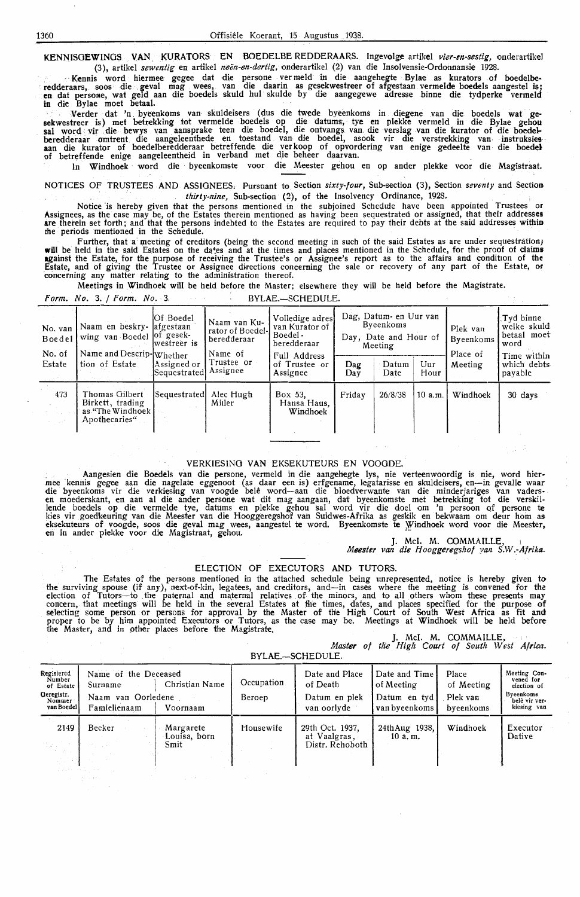KENNISGEWINGS VAN KURATORS EN BOEDELBE REDDERAARS. Ingevolge artikel *vier-en-sestig*, onderartikel (3), artikel *sewentig* en artikel *neen-en-dertig,* onderartikel (2) van die lnsolv;ensie-Ordonnansie 1928.

Kennis word hiermee gegee dat die persone ver meld in die aangehegte Bylae as kurators of boedelberedderaars, soos die geval mag wees, van die daarin as gesekwestreer of afgestaan vermelde boedels aangestel is;<br>en dat persone, wat geld aan die boedels skuld hul skulde by die aangegewe adresse binne die tydperke vermeld in die Bylae moet betaal.

Verder . dat 'n byeenkoms van skuldeisers (dus die twede byeenkoms in diegene van die boedels wat gesekwestreer is) met betrekking tot vermelde boedels op die datums, tye en plekke vermeld in die Bylae gehou sal word · vir , die bewys van aansprake teen die boedel, die ontvangs. van\_ die verslag van die kurator of die· boedelberedderaar omtrent die aangeleenthede en toestand van die boedel, asook vir die verstrekking van instruksies **aan** die kurator of boedelberedderaar betreffende die ver koop of opvordering van enige gedeelte van die boedel of betreffende enige aangeleentheid in verband met die beheer daarvan. .

In Windhoek · word die byeenkomste voor die Meester gehou en op ander plekke voor die Magistraat.

NOTICES OF TRUSTEES AND ASSIGNEES, Pursuant to. Section *sixty-four,* Sub-section (3), Section *seventy* and Section *thirty-nine,* Sub-section (2), of the Insolvency Ordinance, 1928.

Notice is hereby given that the persons mentioned in the subjoined Schedule have been appointed Trustees or<br>Assignees, as the case may be, of the Estates therein mentioned as having been sequestrated or assigned, that thei &re therein set forth; and that the persons indebted to the Estates are required to pay their debts at the said addresses within the periods mentioned in the Schedule.

Further, that a meeting of creditors (being the second meeting in such of the said Estates as are under sequestration; will be held in the said Estates on the dates and at the times and places mentioned in the Schedule, for the proof of claims<br>against the Estate, for the purpose of receiving the Trustee's or Assignee's report as to the aff Estate, and of giving the Trustee or Assignee directions concerning the sale or recovery of any part of the Estate, or<br>'concerning any matter relating to the administration thereof.

Meetings in Windhoek will be held before the Master; elsewhere they will be held before the Magistrate.

Form. No. 3. / *Form. No.* 3. BYLAE.-SCHEDULE.

| No. van<br>Boedel<br>No. of<br>Estate | Naam en beskry- afgestaan<br>wing van Boedel of gesek-<br>Name and Descrip-Whether<br>tion of Estate | lOf Boedel<br>lwestreer is<br>Assigned or<br> Sequestrated | Naam van Ku-<br>rator of Boedel-<br>beredderaar<br>Name of<br>Trustee or<br>Assignee | Volledige adres<br>van Kurator of<br>Boedel -<br>beredderaar<br>Full Address<br>of Trustee or<br>Assignee | Dag<br>Day | Dag, Datum- en Uur van<br>Byeenkoms<br>Day, Date and Hour of<br>Meeting<br>Datum<br>Date | Uur<br>Hour | Plek van<br>Byeenkoms<br>Place of<br>Meeting | Tyd binne<br>welke skuld<br>betaal moet<br>word<br>Time within<br>which debts<br>payable |
|---------------------------------------|------------------------------------------------------------------------------------------------------|------------------------------------------------------------|--------------------------------------------------------------------------------------|-----------------------------------------------------------------------------------------------------------|------------|------------------------------------------------------------------------------------------|-------------|----------------------------------------------|------------------------------------------------------------------------------------------|
| 473                                   | Thomas Gilbert<br>Birkett, trading<br>as "The Windhoek I<br>Apothecaries"                            | Sequestrated                                               | Alec Hugh<br>Miller                                                                  | Box 53.<br>Hansa Haus.<br>Windhoek                                                                        | Fridav     | 26/8/38                                                                                  | 10 a.m.     | Windhoek                                     | 30 days                                                                                  |

#### VERKIESINO **VAN** EKSEKUTEURS EN VOOODE.

Aangesien die Boedels van die persone, vermeld in die aangehegte lys, nie verteenwoordig is nie, word hier-<br>mee kennis gegee aan die nagelate eggenoot (as daar een is) erfgename, legatarisse en skuldeisers, en—in gevalle w lende boedels op die vermelde tye, datums en plekke gehou sal word vir die doel om 'n persoon of persone **te**  kies vir goedkeuring van die Meester van die Hooggeregshof van Suidwes-Afrika as geskik en bekwaam om deur hom as<br>eksekuteurs of voogde, soos die geval mag wees, aangestel te word. Byeenkomste te Windhoek word voor die Mee

**J. McI. M. COMMAILLE,** *Meester van die Hooggeregshof yan S.W.-Afrika.* 

 $\frac{1}{2}$  ,  $\frac{1}{2}$  ,  $\frac{1}{2}$ 

#### ELECTION OF EXECUTORS AND TUTORS.

The Estates of the persons mentioned in the attached schedule being unrepresented, notice is hereby given to the surviving spouse (if any), next-of-kin, legatees, and creditors, and-in cases where the meeting is convened for the election of Tutors-to the paternal and maternal relatives of the minors, and to all others whom these presents may concern, that meetings will be held in the several Estates at the times, dates, and plaoes specified for the purpose of selecting some person or persons for approval by the Master of the High Court of South West Africa as fit and proper to be by him appointed Executors or Tutors, as the case may be. Meetings at Windhoek will be held before the Master, and in pther plaoes before the Magistrate.

**J.** Mel. M. COMMAILLE, <sup>1</sup> **Master** *of* tlie *High Court of South West Africa.* 

BYLAE.-SCHEDULE.

| <b>Regisiered</b><br>Number<br>of Estate<br>Geregistr.<br>Nommer<br>van Boedel l                | Name of the Deceased<br>Surname<br>Naam van Oorledene<br>Famielienaam | Christian Name<br>Voornaam        | Occupation<br>Beroep | Date and Place<br>of Death<br>Datum en plek<br>van oorlyde | Date and Time<br>of Meeting<br>Datum en tyd<br>van byeenkoms | Place<br>of Meeting<br>Plek van<br>byeenkoms | Meeting Con-<br>vened for<br>election of<br>Byeenkoms<br>belê vir ver-<br>kiesing van |
|-------------------------------------------------------------------------------------------------|-----------------------------------------------------------------------|-----------------------------------|----------------------|------------------------------------------------------------|--------------------------------------------------------------|----------------------------------------------|---------------------------------------------------------------------------------------|
| 2149<br>计加工 医马来<br>$\mathcal{A}=\mathcal{A}+\mathcal{A}$ .<br>로마의 소리<br>distances in the season | Becker<br><b>R</b> Stern Car                                          | Margarete<br>Louisa, born<br>Smit | Housewife            | 29th Oct. 1937,<br>at Vaalgras,<br>Distr. Rehoboth         | 24thAug 1938,<br>10a.m.                                      | Windhoek                                     | Executor<br>Dative                                                                    |
|                                                                                                 | $\alpha_{\rm eff}$ and $\alpha_{\rm eff}$ are the set                 |                                   |                      |                                                            |                                                              |                                              |                                                                                       |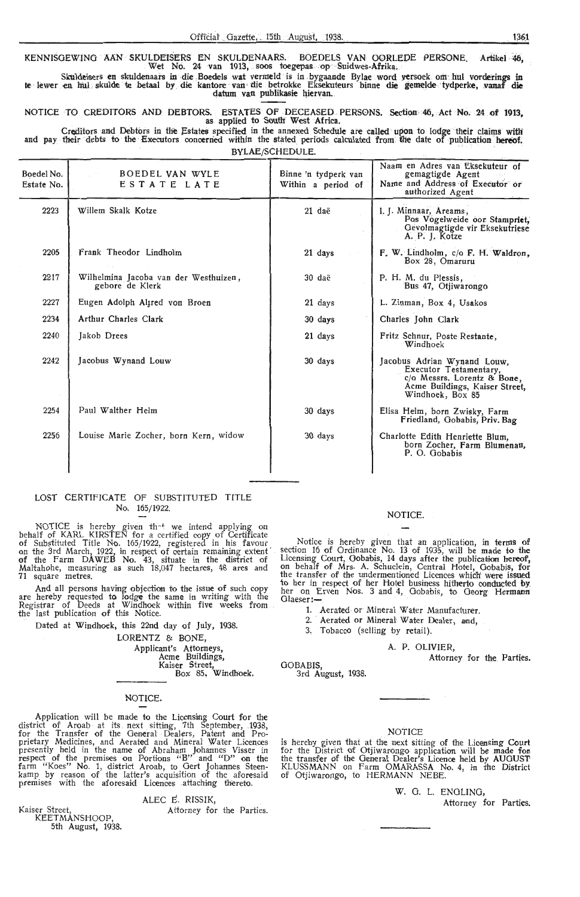KENNISGEWING AAN SKULDEISERS EN SKULDENAARS. BOEDELS VAN OORLEDE PERSONE. Artikel 46, Wet No. 24 van 1913, soos toegepas op Suidwes-Afrika.

Skuldeisers en skuldenaars in die Boedels wat vermeld is in bygaande Bylae word versoek om hul vorderings in<br>te lewer en hul skulde te betaal by die kantore van die betrokke Eksekuteurs binne die gemelde tydperke, vanaf<br>da

NOTICE TO CREDITORS AND DEBTORS. ESTATES OF DECEASED PERSONS. Section: 46, Act No. 24 of 1913, as applied to South' West Africa.

Creditors and Debtors in the Estates specified in the annexed Schedule are called upon to lodge their claims with and pay their debts to the Executors concerned within the stated periods calculated from the date of publication hereof. BYLAE/SCHEDULE.

| Boedel No.<br>Estate No. | BOEDEL VAN WYLE<br>ESTATE LATE                           | Binne 'n tydperk van<br>Within a period of | Naam en Adres van Eksekuteur of<br>gemagtigde Agent<br>Name and Address of Executor or<br>authorized Agent                                 |
|--------------------------|----------------------------------------------------------|--------------------------------------------|--------------------------------------------------------------------------------------------------------------------------------------------|
| 2223                     | Willem Skalk Kotze                                       | 21 daë                                     | I. J. Minnaar, Areams,<br>Pos Vogelweide oor Stampriet.<br>Gevolmagtigde vir Eksekutriese<br>A. P. J. Kotze                                |
| 2205                     | Frank Theodor Lindholm                                   | 21 days                                    | F. W. Lindholm, c/o F. H. Waldron,<br>Box 28, Omaruru                                                                                      |
| 2217                     | Wilhelmina Jacoba van der Westhuizen,<br>gebore de Klerk | 30 daë                                     | P. H. M. du Plessis,<br>Bus 47, Otiiwarongo                                                                                                |
| 2227                     | Eugen Adolph Altred von Broen                            | 21 days                                    | L. Zinman, Box 4, Usakos                                                                                                                   |
| 2234                     | Arthur Charles Clark                                     | 30 days                                    | Charles John Clark                                                                                                                         |
| 2240                     | Jakob Drees                                              | 21 days                                    | Fritz Schnur, Poste Restante,<br>Windhoek                                                                                                  |
| 2242                     | Jacobus Wynand Louw                                      | 30 days                                    | Jacobus Adrian Wynand Louw,<br>Executor Testamentary,<br>c/o Messrs. Lorentz & Bone,<br>Acme Buildings, Kaiser Street,<br>Windhoek, Box 85 |
| 2254                     | Paul Walther Helm                                        | $30$ days                                  | Elisa Helm, born Zwisky, Farm<br>Friedland, Gobabis, Priv. Bag                                                                             |
| 2256                     | Louise Marie Zocher, born Kern, widow                    | 30 days                                    | Charlotte Edith Henriette Blum,<br>born Zocher, Farm Blumenau,<br>P. O. Gobabis                                                            |

### LOST CERTIFICATE OF SUBSTITUTED TITLE No. 165/1922.

NOTICE is hereby given th<sup>\*\*</sup> we intend applying on behalf of KARL KIRSTEN for a certified copy of Certificate of Substituted Title No. 165/1922, registered in his favour<br>on the 3rd March, 1922, in respect of certain remaining extent<br>of the Farm DAWEB No. 43, situate in the district of Maltahohe, measuring as such 18,047 hectares, 48 ares and 71 square metres.

And all persons having objection to the issue of such copy are hereby requested to lodge the same in writing with the Registrar of Deeds at Windhoek within five weeks from the last publication of this Notice.

Dated at Windhoek, this 22nd day of July, 1938.

LORENTZ & BONE,

Applicant's Attorneys, Acme Buildings, Kaiser Street, Box 85, Windhoek.

#### NOTICE.

Application will be made to the Licensing Court for the district of Aroab at its next sitting, 7th September, 1938, for the Transfer of the General Dealers, Patent and Proprietary Medicines, and Aerated and Mineral Water Licences<br>presently held in the name of Abraham Johannes Visser in<br>respect of the premises on Portions "B" and "D" on the<br>farm "Koes" No. 1, district Aroab, to Gert Johannes premises with the aforesaid Licences attaching thereto.

ALEC E. RISSIK,

Kaiser Street, KEETMANSHOOP, 5th August, 1938. Attorney for the Parties.

## NOTICE.

Notice *is* hereby given that an application, in terms of section 16 of Ordinance No. 13 of 1935, will be made to the Licensing Court, Gobabis, 14 days after the publication hereof,<br>on behalf of Mrs. A. Schuelein, Central Hotel, Gobabis, for the transfer of the undermentioned Licences which were issued to her in respect of her Hotel business hitherto conducted by. her on Erven Nos. 3 and 4, Gobabis, to Georg Hermann  $G$ laeser: $-$ 

1. Aerated or Mineral Water Manufacturer.

2. Aerated or Mineral Water Dealer, and,

3, Tobacco (selling by retail).

### A. P. OLIVIER,

GOBABIS. Attorney for the Parties.

3rd August, 1938.

#### NOTICE

is hereby given that at th,e next sitting of the Licensing **Court**  for the District of Otjiwarongo application will be made for the transfer of the General Dealer's Licence held by AUGUST KLUSSMANN on Farm OMARASSA No. 4, in the District of Otjiwarongo, to HERMANN NEBE.

> W. 0. L. ENOLINO, Attorney for Parties.